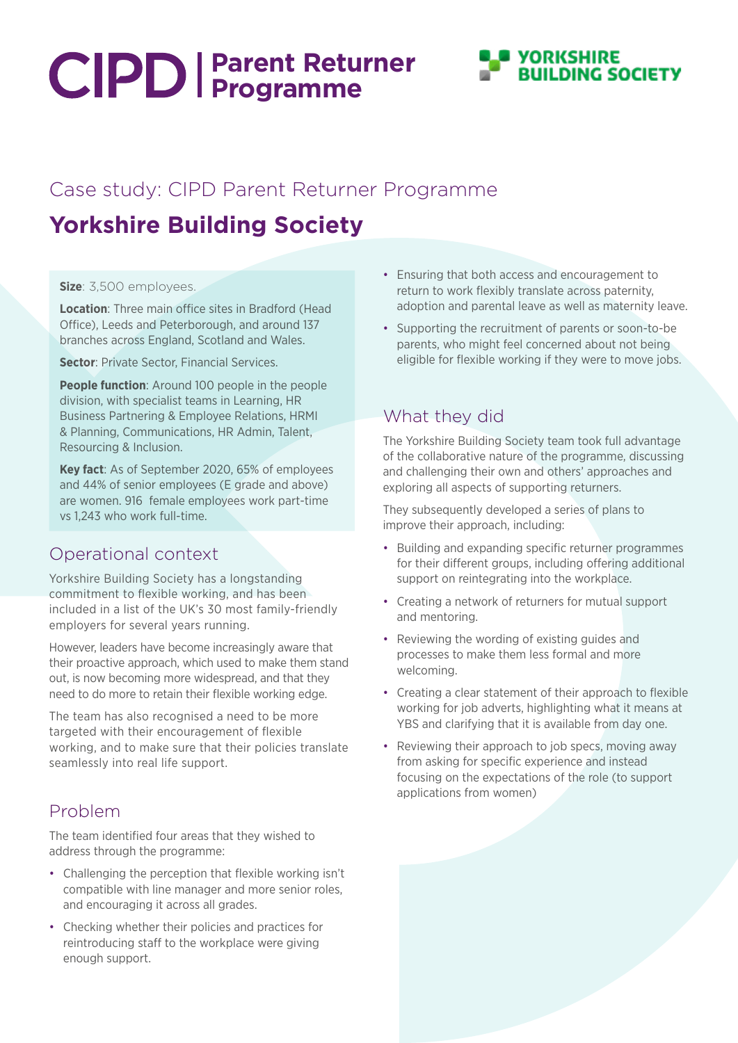# **Parent Returner Programme**



### Case study: CIPD Parent Returner Programme

## **Yorkshire Building Society**

#### **Size**: 3,500 employees.

**Location**: Three main office sites in Bradford (Head Office), Leeds and Peterborough, and around 137 branches across England, Scotland and Wales.

**Sector: Private Sector, Financial Services.** 

**People function**: Around 100 people in the people division, with specialist teams in Learning, HR Business Partnering & Employee Relations, HRMI & Planning, Communications, HR Admin, Talent, Resourcing & Inclusion.

**Key fact**: As of September 2020, 65% of employees and 44% of senior employees (E grade and above) are women. 916 female employees work part-time vs 1,243 who work full-time.

#### Operational context

Yorkshire Building Society has a longstanding commitment to flexible working, and has been included in a list of the UK's 30 most family-friendly employers for several years running.

However, leaders have become increasingly aware that their proactive approach, which used to make them stand out, is now becoming more widespread, and that they need to do more to retain their flexible working edge.

The team has also recognised a need to be more targeted with their encouragement of flexible working, and to make sure that their policies translate seamlessly into real life support.

#### Problem

The team identified four areas that they wished to address through the programme:

- Challenging the perception that flexible working isn't compatible with line manager and more senior roles, and encouraging it across all grades.
- Checking whether their policies and practices for reintroducing staff to the workplace were giving enough support.
- Ensuring that both access and encouragement to return to work flexibly translate across paternity, adoption and parental leave as well as maternity leave.
- Supporting the recruitment of parents or soon-to-be parents, who might feel concerned about not being eligible for flexible working if they were to move jobs.

#### What they did

The Yorkshire Building Society team took full advantage of the collaborative nature of the programme, discussing and challenging their own and others' approaches and exploring all aspects of supporting returners.

They subsequently developed a series of plans to improve their approach, including:

- Building and expanding specific returner programmes for their different groups, including offering additional support on reintegrating into the workplace.
- Creating a network of returners for mutual support and mentoring.
- Reviewing the wording of existing guides and processes to make them less formal and more welcoming.
- Creating a clear statement of their approach to flexible working for job adverts, highlighting what it means at YBS and clarifying that it is available from day one.
- Reviewing their approach to job specs, moving away from asking for specific experience and instead focusing on the expectations of the role (to support applications from women)